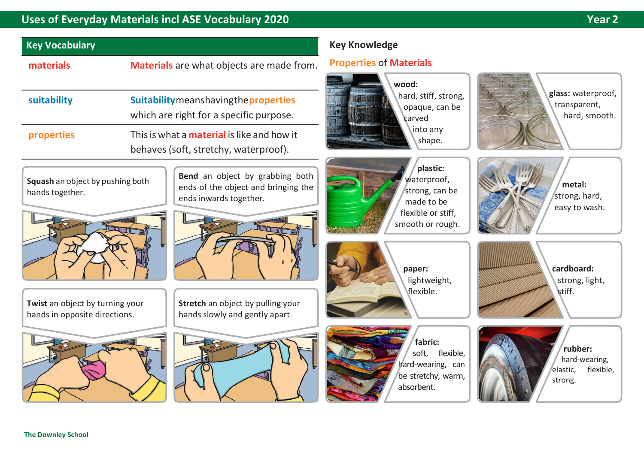## **Uses of Everyday Materials incl ASE Vocabulary 2020 Year 2**

**glass:** waterproof, transparent,

**metal:**  strong, hard, easy to wash.

**cardboard:**  strong, light,

stiff.

hard, smooth.